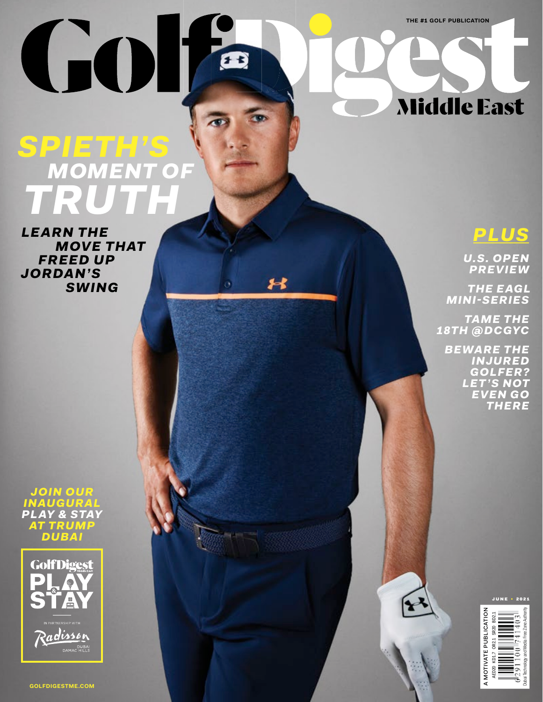**THE** #1 **GOLF PUBLICATION**

## Middle East

## *SPIETH'S MOMENT OF TRUTH*

GO

i

 $f<sub>z</sub>$ 

*LEARN THE MOVE THAT FREED UP JORDAN'S SWING*





**GOLFDIGESTME.COM**

*PLUS*

*U.S. OPEN PREVIEW*

*THE EAGL MINI-SERIES*

*TAME THE 18TH @DCGYC*

> *BEWARE THE INJURED GOLFER? LET 'S NOT EVEN GO THERE*

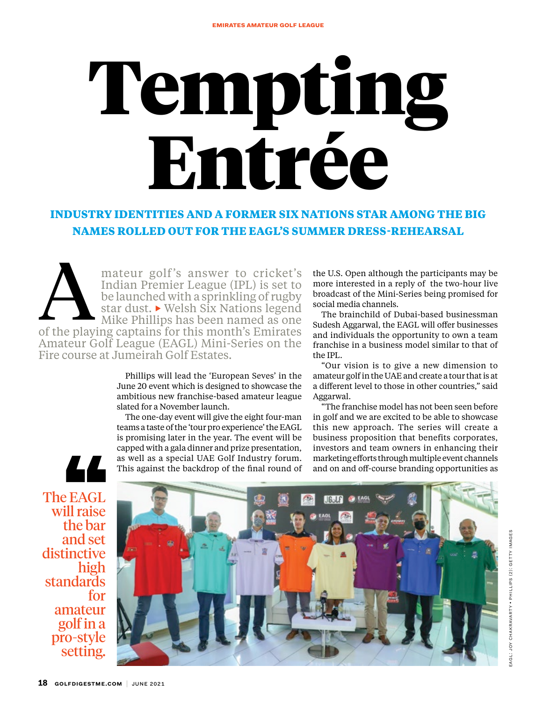# Tempting Entrée

#### **INDUSTRY IDENTITIES AND A FORMER SIX NATIONS STAR AMONG THE BIG NAMES ROLLED OUT FOR THE EAGL'S SUMMER DRESS-REHEARSAL**

mateur golf's answer to cricket's Indian Premier League (IPL) is set to be launched with a sprinkling of rugby star dust. ▶ Welsh Six Nations legend Mike Phillips has been named as one mateur golf's answer to cricket's<br>
Indian Premier League (IPL) is set to<br>
be launched with a sprinkling of rugby<br>
star dust.  $\triangleright$  Welsh Six Nations legend<br>
Mike Phillips has been named as one<br>
of the playing captains for Amateur Golf League (EAGL) Mini-Series on the Fire course at Jumeirah Golf Estates.

> Phillips will lead the 'European Seves' in the June 20 event which is designed to showcase the ambitious new franchise-based amateur league slated for a November launch.

> The one-day event will give the eight four-man teams a taste of the 'tour pro experience' the EAGL is promising later in the year. The event will be capped with a gala dinner and prize presentation, as well as a special UAE Golf Industry forum. This against the backdrop of the final round of

the U.S. Open although the participants may be more interested in a reply of the two-hour live broadcast of the Mini-Series being promised for social media channels.

The brainchild of Dubai-based businessman Sudesh Aggarwal, the EAGL will offer businesses and individuals the opportunity to own a team franchise in a business model similar to that of the IPL.

"Our vision is to give a new dimension to amateur golf in the UAE and create a tour that is at a different level to those in other countries," said Aggarwal.

"The franchise model has not been seen before in golf and we are excited to be able to showcase this new approach. The series will create a business proposition that benefits corporates, investors and team owners in enhancing their marketing efforts through multiple event channels and on and off-course branding opportunities as

The EAGL will raise the bar and set distinctive high standards for amateur golf in a pro-style setting.

LL

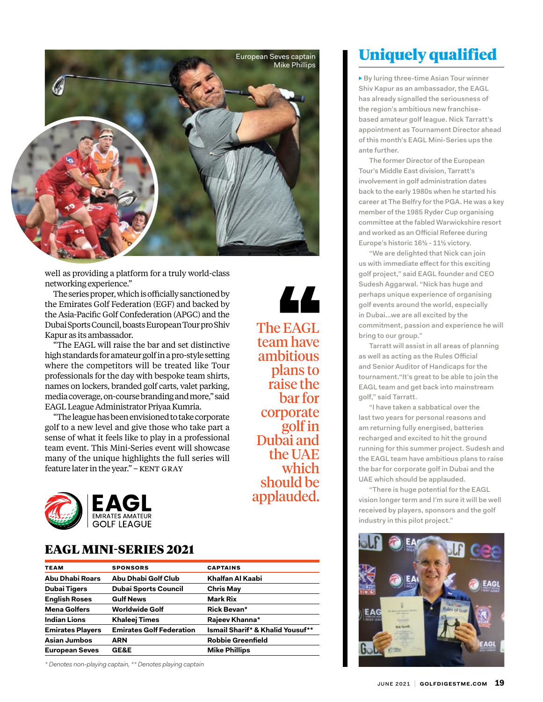

well as providing a platform for a truly world-class networking experience."

The series proper, which is officially sanctioned by the Emirates Golf Federation (EGF) and backed by the Asia-Pacific Golf Confederation (APGC) and the Dubai Sports Council, boasts European Tour pro Shiv Kapur as its ambassador.

"The EAGL will raise the bar and set distinctive high standards for amateur golf in a pro-style setting where the competitors will be treated like Tour professionals for the day with bespoke team shirts, names on lockers, branded golf carts, valet parking, media coverage, on-course branding and more," said EAGL League Administrator Priyaa Kumria.

"The league has been envisioned to take corporate golf to a new level and give those who take part a sense of what it feels like to play in a professional team event. This Mini-Series event will showcase many of the unique highlights the full series will feature later in the year." - KENT GRAY



#### EAGL MINI-SERIES 2021

| <b>TEAM</b>             | <b>SPONSORS</b>                 | <b>CAPTAINS</b>                  |
|-------------------------|---------------------------------|----------------------------------|
| Abu Dhabi Roars         | Abu Dhabi Golf Club             | Khalfan Al Kaabi                 |
| <b>Dubai Tigers</b>     | <b>Dubai Sports Council</b>     | <b>Chris May</b>                 |
| <b>English Roses</b>    | <b>Gulf News</b>                | <b>Mark Rix</b>                  |
| <b>Mena Golfers</b>     | <b>Worldwide Golf</b>           | <b>Rick Bevan*</b>               |
| <b>Indian Lions</b>     | <b>Khaleej Times</b>            | Rajeev Khanna*                   |
| <b>Emirates Players</b> | <b>Emirates Golf Federation</b> | Ismail Sharif* & Khalid Yousuf** |
| <b>Asian Jumbos</b>     | <b>ARN</b>                      | <b>Robbie Greenfield</b>         |
| <b>European Seves</b>   | <b>GE&amp;E</b>                 | <b>Mike Phillips</b>             |

*\* Denotes non-playing captain, \*\* Denotes playing captain*

#### LL The EAGL team have ambitious plans to raise the bar for corporate golf in Dubai and

the UAE which should be applauded.

Uniquely qualified

**▶** By luring three-time Asian Tour winner Shiv Kapur as an ambassador, the EAGL has already signalled the seriousness of the region's ambitious new franchisebased amateur golf league. Nick Tarratt's appointment as Tournament Director ahead of this month's EAGL Mini-Series ups the ante further.

The former Director of the European Tour's Middle East division, Tarratt's involvement in golf administration dates back to the early 1980s when he started his career at The Belfry for the PGA. He was a key member of the 1985 Ryder Cup organising committee at the fabled Warwickshire resort and worked as an Official Referee during Europe's historic 16½ - 11½ victory.

"We are delighted that Nick can join us with immediate effect for this exciting golf project," said EAGL founder and CEO Sudesh Aggarwal. "Nick has huge and perhaps unique experience of organising golf events around the world, especially in Dubai…we are all excited by the commitment, passion and experience he will bring to our group."

Tarratt will assist in all areas of planning as well as acting as the Rules Official and Senior Auditor of Handicaps for the tournament."It's great to be able to join the EAGL team and get back into mainstream golf," said Tarratt.

"I have taken a sabbatical over the last two years for personal reasons and am returning fully energised, batteries recharged and excited to hit the ground running for this summer project. Sudesh and the EAGL team have ambitious plans to raise the bar for corporate golf in Dubai and the UAE which should be applauded.

"There is huge potential for the EAGL vision longer term and I'm sure it will be well received by players, sponsors and the golf industry in this pilot project."